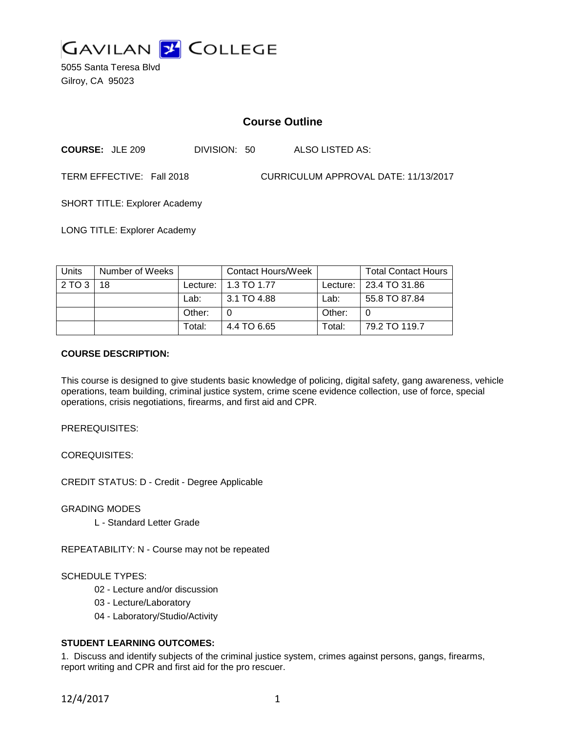

5055 Santa Teresa Blvd Gilroy, CA 95023

# **Course Outline**

**COURSE:** JLE 209 DIVISION: 50 ALSO LISTED AS:

TERM EFFECTIVE: Fall 2018 CURRICULUM APPROVAL DATE: 11/13/2017

SHORT TITLE: Explorer Academy

LONG TITLE: Explorer Academy

| Units | Number of Weeks |            | <b>Contact Hours/Week</b> |        | <b>Total Contact Hours</b> |
|-------|-----------------|------------|---------------------------|--------|----------------------------|
| 2TO3  | 18              | Lecture: I | 1.3 TO 1.77               |        | Lecture:   23.4 TO 31.86   |
|       |                 | Lab:       | 3.1 TO 4.88               | Lab:   | 55.8 TO 87.84              |
|       |                 | Other:     |                           | Other: |                            |
|       |                 | Total:     | 4.4 TO 6.65               | Total: | 79.2 TO 119.7              |

### **COURSE DESCRIPTION:**

This course is designed to give students basic knowledge of policing, digital safety, gang awareness, vehicle operations, team building, criminal justice system, crime scene evidence collection, use of force, special operations, crisis negotiations, firearms, and first aid and CPR.

PREREQUISITES:

COREQUISITES:

CREDIT STATUS: D - Credit - Degree Applicable

GRADING MODES

L - Standard Letter Grade

REPEATABILITY: N - Course may not be repeated

#### SCHEDULE TYPES:

- 02 Lecture and/or discussion
- 03 Lecture/Laboratory
- 04 Laboratory/Studio/Activity

# **STUDENT LEARNING OUTCOMES:**

1. Discuss and identify subjects of the criminal justice system, crimes against persons, gangs, firearms, report writing and CPR and first aid for the pro rescuer.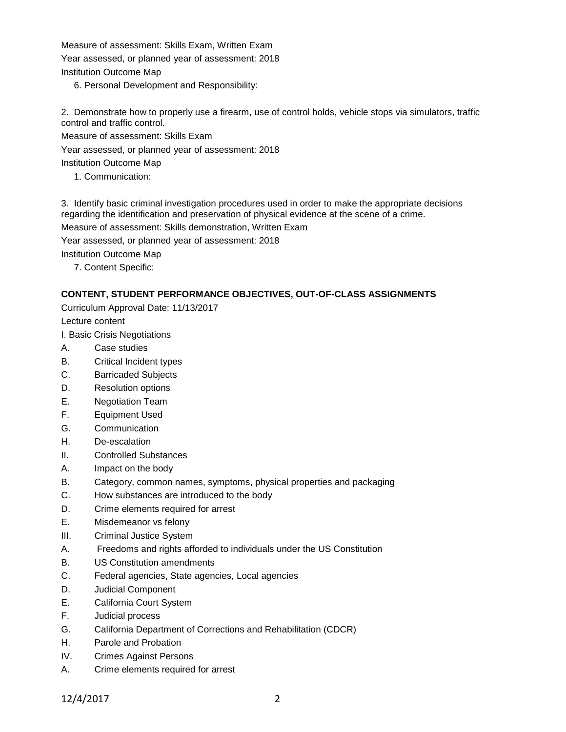Measure of assessment: Skills Exam, Written Exam Year assessed, or planned year of assessment: 2018 Institution Outcome Map

6. Personal Development and Responsibility:

2. Demonstrate how to properly use a firearm, use of control holds, vehicle stops via simulators, traffic control and traffic control.

Measure of assessment: Skills Exam

Year assessed, or planned year of assessment: 2018

Institution Outcome Map

1. Communication:

3. Identify basic criminal investigation procedures used in order to make the appropriate decisions regarding the identification and preservation of physical evidence at the scene of a crime.

Measure of assessment: Skills demonstration, Written Exam

Year assessed, or planned year of assessment: 2018

Institution Outcome Map

7. Content Specific:

### **CONTENT, STUDENT PERFORMANCE OBJECTIVES, OUT-OF-CLASS ASSIGNMENTS**

Curriculum Approval Date: 11/13/2017

Lecture content

I. Basic Crisis Negotiations

- A. Case studies
- B. Critical Incident types
- C. Barricaded Subjects
- D. Resolution options
- E. Negotiation Team
- F. Equipment Used
- G. Communication
- H. De-escalation
- II. Controlled Substances
- A. Impact on the body
- B. Category, common names, symptoms, physical properties and packaging
- C. How substances are introduced to the body
- D. Crime elements required for arrest
- E. Misdemeanor vs felony
- III. Criminal Justice System
- A. Freedoms and rights afforded to individuals under the US Constitution
- B. US Constitution amendments
- C. Federal agencies, State agencies, Local agencies
- D. Judicial Component
- E. California Court System
- F. Judicial process
- G. California Department of Corrections and Rehabilitation (CDCR)
- H. Parole and Probation
- IV. Crimes Against Persons
- A. Crime elements required for arrest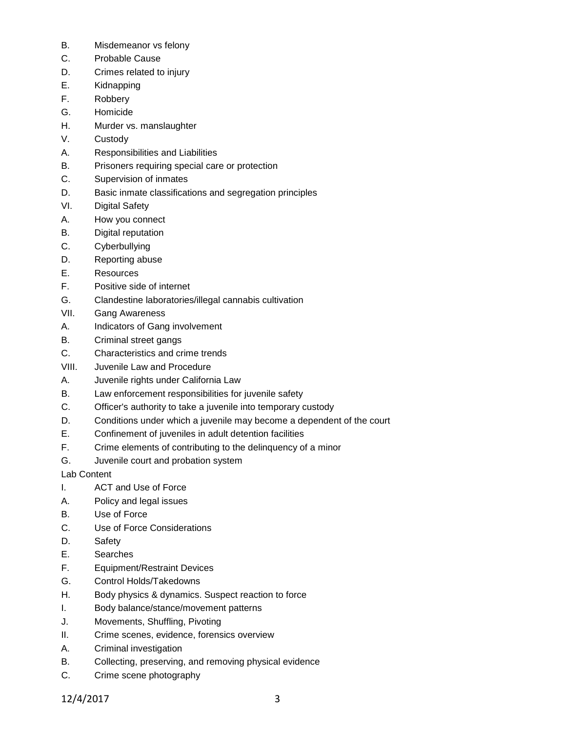- B. Misdemeanor vs felony
- C. Probable Cause
- D. Crimes related to injury
- E. Kidnapping
- F. Robbery
- G. Homicide
- H. Murder vs. manslaughter
- V. Custody
- A. Responsibilities and Liabilities
- B. Prisoners requiring special care or protection
- C. Supervision of inmates
- D. Basic inmate classifications and segregation principles
- VI. Digital Safety
- A. How you connect
- B. Digital reputation
- C. Cyberbullying
- D. Reporting abuse
- E. Resources
- F. Positive side of internet
- G. Clandestine laboratories/illegal cannabis cultivation
- VII. Gang Awareness
- A. Indicators of Gang involvement
- B. Criminal street gangs
- C. Characteristics and crime trends
- VIII. Juvenile Law and Procedure
- A. Juvenile rights under California Law
- B. Law enforcement responsibilities for juvenile safety
- C. Officer's authority to take a juvenile into temporary custody
- D. Conditions under which a juvenile may become a dependent of the court
- E. Confinement of juveniles in adult detention facilities
- F. Crime elements of contributing to the delinquency of a minor
- G. Juvenile court and probation system
- Lab Content
- I. ACT and Use of Force
- A. Policy and legal issues
- B. Use of Force
- C. Use of Force Considerations
- D. Safety
- E. Searches
- F. Equipment/Restraint Devices
- G. Control Holds/Takedowns
- H. Body physics & dynamics. Suspect reaction to force
- I. Body balance/stance/movement patterns
- J. Movements, Shuffling, Pivoting
- II. Crime scenes, evidence, forensics overview
- A. Criminal investigation
- B. Collecting, preserving, and removing physical evidence
- C. Crime scene photography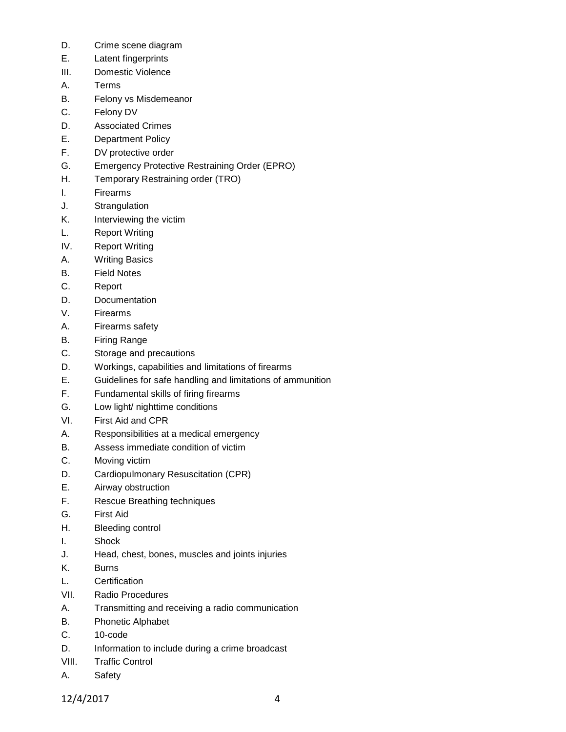- D. Crime scene diagram
- E. Latent fingerprints
- III. Domestic Violence
- A. Terms
- B. Felony vs Misdemeanor
- C. Felony DV
- D. Associated Crimes
- E. Department Policy
- F. DV protective order
- G. Emergency Protective Restraining Order (EPRO)
- H. Temporary Restraining order (TRO)
- I. Firearms
- J. Strangulation
- K. Interviewing the victim
- L. Report Writing
- IV. Report Writing
- A. Writing Basics
- B. Field Notes
- C. Report
- D. Documentation
- V. Firearms
- A. Firearms safety
- B. Firing Range
- C. Storage and precautions
- D. Workings, capabilities and limitations of firearms
- E. Guidelines for safe handling and limitations of ammunition
- F. Fundamental skills of firing firearms
- G. Low light/ nighttime conditions
- VI. First Aid and CPR
- A. Responsibilities at a medical emergency
- B. Assess immediate condition of victim
- C. Moving victim
- D. Cardiopulmonary Resuscitation (CPR)
- E. Airway obstruction
- F. Rescue Breathing techniques
- G. First Aid
- H. Bleeding control
- I. Shock
- J. Head, chest, bones, muscles and joints injuries
- K. Burns
- L. Certification
- VII. Radio Procedures
- A. Transmitting and receiving a radio communication
- B. Phonetic Alphabet
- C. 10-code
- D. Information to include during a crime broadcast
- VIII. Traffic Control
- A. Safety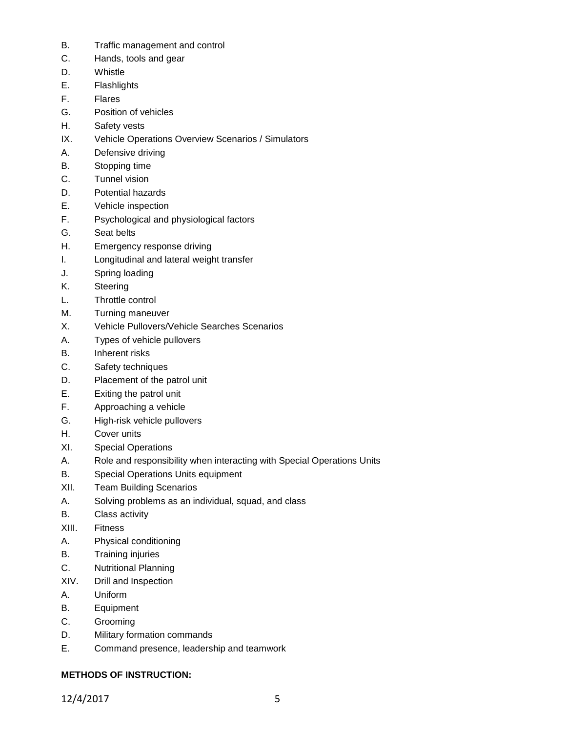- B. Traffic management and control
- C. Hands, tools and gear
- D. Whistle
- E. Flashlights
- F. Flares
- G. Position of vehicles
- H. Safety vests
- IX. Vehicle Operations Overview Scenarios / Simulators
- A. Defensive driving
- B. Stopping time
- C. Tunnel vision
- D. Potential hazards
- E. Vehicle inspection
- F. Psychological and physiological factors
- G. Seat belts
- H. Emergency response driving
- I. Longitudinal and lateral weight transfer
- J. Spring loading
- K. Steering
- L. Throttle control
- M. Turning maneuver
- X. Vehicle Pullovers/Vehicle Searches Scenarios
- A. Types of vehicle pullovers
- B. Inherent risks
- C. Safety techniques
- D. Placement of the patrol unit
- E. Exiting the patrol unit
- F. Approaching a vehicle
- G. High-risk vehicle pullovers
- H. Cover units
- XI. Special Operations
- A. Role and responsibility when interacting with Special Operations Units
- B. Special Operations Units equipment
- XII. Team Building Scenarios
- A. Solving problems as an individual, squad, and class
- B. Class activity
- XIII. Fitness
- A. Physical conditioning
- B. Training injuries
- C. Nutritional Planning
- XIV. Drill and Inspection
- A. Uniform
- B. Equipment
- C. Grooming
- D. Military formation commands
- E. Command presence, leadership and teamwork

# **METHODS OF INSTRUCTION:**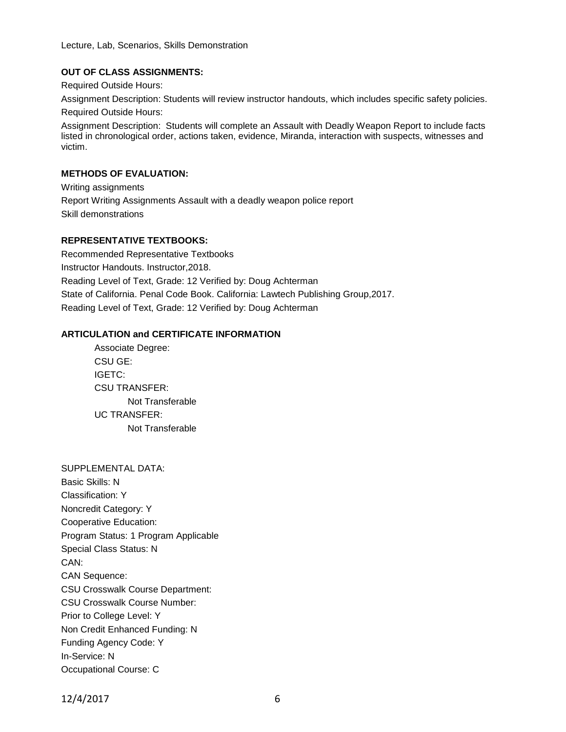Lecture, Lab, Scenarios, Skills Demonstration

# **OUT OF CLASS ASSIGNMENTS:**

Required Outside Hours:

Assignment Description: Students will review instructor handouts, which includes specific safety policies.

Required Outside Hours:

Assignment Description: Students will complete an Assault with Deadly Weapon Report to include facts listed in chronological order, actions taken, evidence, Miranda, interaction with suspects, witnesses and victim.

## **METHODS OF EVALUATION:**

Writing assignments Report Writing Assignments Assault with a deadly weapon police report Skill demonstrations

# **REPRESENTATIVE TEXTBOOKS:**

Recommended Representative Textbooks Instructor Handouts. Instructor,2018. Reading Level of Text, Grade: 12 Verified by: Doug Achterman State of California. Penal Code Book. California: Lawtech Publishing Group,2017. Reading Level of Text, Grade: 12 Verified by: Doug Achterman

# **ARTICULATION and CERTIFICATE INFORMATION**

Associate Degree: CSU GE: IGETC: CSU TRANSFER: Not Transferable UC TRANSFER: Not Transferable

SUPPLEMENTAL DATA: Basic Skills: N Classification: Y Noncredit Category: Y Cooperative Education: Program Status: 1 Program Applicable Special Class Status: N CAN: CAN Sequence: CSU Crosswalk Course Department: CSU Crosswalk Course Number: Prior to College Level: Y Non Credit Enhanced Funding: N Funding Agency Code: Y In-Service: N Occupational Course: C